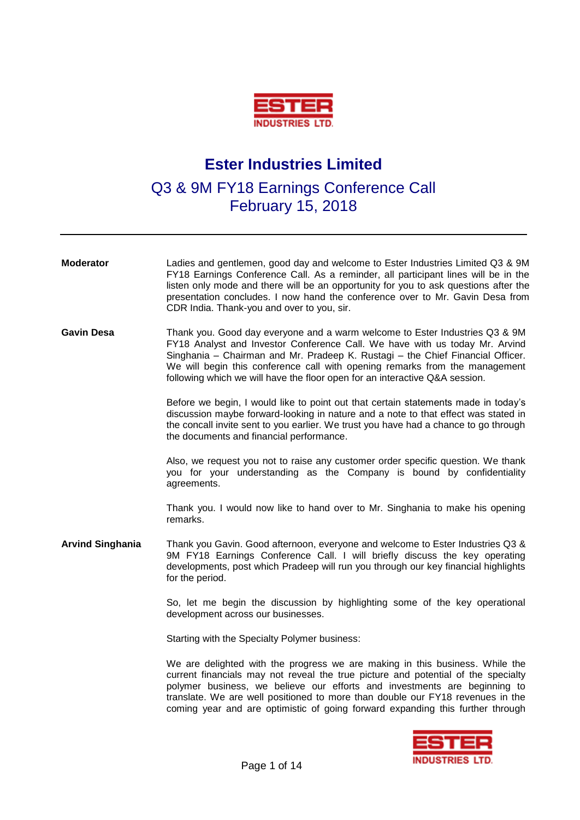

## **Ester Industries Limited**

## Q3 & 9M FY18 Earnings Conference Call February 15, 2018

| <b>Moderator</b>        | Ladies and gentlemen, good day and welcome to Ester Industries Limited Q3 & 9M<br>FY18 Earnings Conference Call. As a reminder, all participant lines will be in the<br>listen only mode and there will be an opportunity for you to ask questions after the<br>presentation concludes. I now hand the conference over to Mr. Gavin Desa from<br>CDR India. Thank-you and over to you, sir.                        |
|-------------------------|--------------------------------------------------------------------------------------------------------------------------------------------------------------------------------------------------------------------------------------------------------------------------------------------------------------------------------------------------------------------------------------------------------------------|
| <b>Gavin Desa</b>       | Thank you. Good day everyone and a warm welcome to Ester Industries Q3 & 9M<br>FY18 Analyst and Investor Conference Call. We have with us today Mr. Arvind<br>Singhania - Chairman and Mr. Pradeep K. Rustagi - the Chief Financial Officer.<br>We will begin this conference call with opening remarks from the management<br>following which we will have the floor open for an interactive Q&A session.         |
|                         | Before we begin, I would like to point out that certain statements made in today's<br>discussion maybe forward-looking in nature and a note to that effect was stated in<br>the concall invite sent to you earlier. We trust you have had a chance to go through<br>the documents and financial performance.                                                                                                       |
|                         | Also, we request you not to raise any customer order specific question. We thank<br>you for your understanding as the Company is bound by confidentiality<br>agreements.                                                                                                                                                                                                                                           |
|                         | Thank you. I would now like to hand over to Mr. Singhania to make his opening<br>remarks.                                                                                                                                                                                                                                                                                                                          |
| <b>Arvind Singhania</b> | Thank you Gavin. Good afternoon, everyone and welcome to Ester Industries Q3 &<br>9M FY18 Earnings Conference Call. I will briefly discuss the key operating<br>developments, post which Pradeep will run you through our key financial highlights<br>for the period.                                                                                                                                              |
|                         | So, let me begin the discussion by highlighting some of the key operational<br>development across our businesses.                                                                                                                                                                                                                                                                                                  |
|                         | Starting with the Specialty Polymer business:                                                                                                                                                                                                                                                                                                                                                                      |
|                         | We are delighted with the progress we are making in this business. While the<br>current financials may not reveal the true picture and potential of the specialty<br>polymer business, we believe our efforts and investments are beginning to<br>translate. We are well positioned to more than double our FY18 revenues in the<br>coming year and are optimistic of going forward expanding this further through |

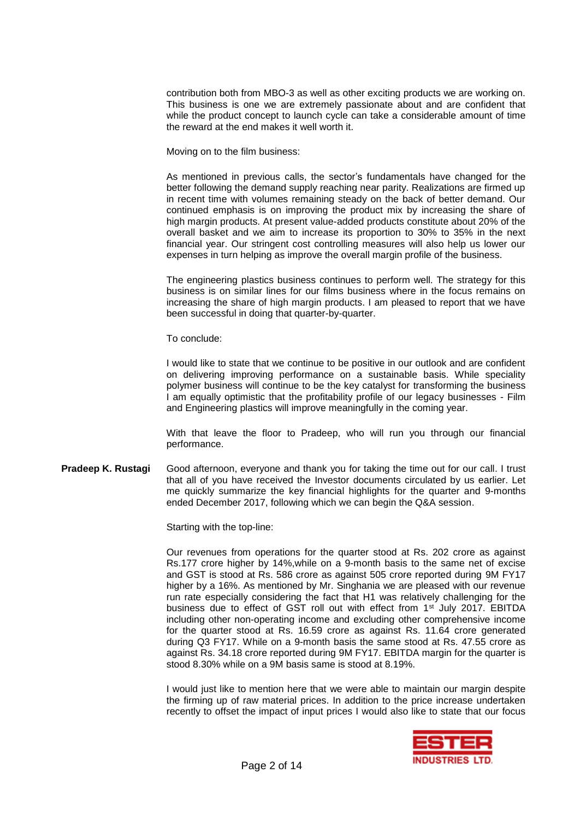contribution both from MBO-3 as well as other exciting products we are working on. This business is one we are extremely passionate about and are confident that while the product concept to launch cycle can take a considerable amount of time the reward at the end makes it well worth it.

Moving on to the film business:

As mentioned in previous calls, the sector's fundamentals have changed for the better following the demand supply reaching near parity. Realizations are firmed up in recent time with volumes remaining steady on the back of better demand. Our continued emphasis is on improving the product mix by increasing the share of high margin products. At present value-added products constitute about 20% of the overall basket and we aim to increase its proportion to 30% to 35% in the next financial year. Our stringent cost controlling measures will also help us lower our expenses in turn helping as improve the overall margin profile of the business.

The engineering plastics business continues to perform well. The strategy for this business is on similar lines for our films business where in the focus remains on increasing the share of high margin products. I am pleased to report that we have been successful in doing that quarter-by-quarter.

To conclude:

I would like to state that we continue to be positive in our outlook and are confident on delivering improving performance on a sustainable basis. While speciality polymer business will continue to be the key catalyst for transforming the business I am equally optimistic that the profitability profile of our legacy businesses - Film and Engineering plastics will improve meaningfully in the coming year.

With that leave the floor to Pradeep, who will run you through our financial performance.

**Pradeep K. Rustagi** Good afternoon, everyone and thank you for taking the time out for our call. I trust that all of you have received the Investor documents circulated by us earlier. Let me quickly summarize the key financial highlights for the quarter and 9-months ended December 2017, following which we can begin the Q&A session.

Starting with the top-line:

Our revenues from operations for the quarter stood at Rs. 202 crore as against Rs.177 crore higher by 14%,while on a 9-month basis to the same net of excise and GST is stood at Rs. 586 crore as against 505 crore reported during 9M FY17 higher by a 16%. As mentioned by Mr. Singhania we are pleased with our revenue run rate especially considering the fact that H1 was relatively challenging for the business due to effect of GST roll out with effect from 1<sup>st</sup> July 2017. EBITDA including other non-operating income and excluding other comprehensive income for the quarter stood at Rs. 16.59 crore as against Rs. 11.64 crore generated during Q3 FY17. While on a 9-month basis the same stood at Rs. 47.55 crore as against Rs. 34.18 crore reported during 9M FY17. EBITDA margin for the quarter is stood 8.30% while on a 9M basis same is stood at 8.19%.

I would just like to mention here that we were able to maintain our margin despite the firming up of raw material prices. In addition to the price increase undertaken recently to offset the impact of input prices I would also like to state that our focus

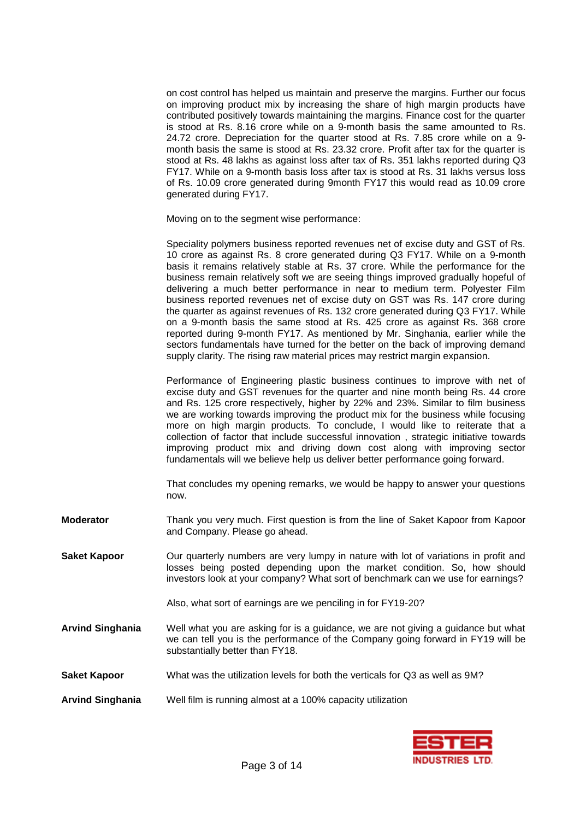on cost control has helped us maintain and preserve the margins. Further our focus on improving product mix by increasing the share of high margin products have contributed positively towards maintaining the margins. Finance cost for the quarter is stood at Rs. 8.16 crore while on a 9-month basis the same amounted to Rs. 24.72 crore. Depreciation for the quarter stood at Rs. 7.85 crore while on a 9 month basis the same is stood at Rs. 23.32 crore. Profit after tax for the quarter is stood at Rs. 48 lakhs as against loss after tax of Rs. 351 lakhs reported during Q3 FY17. While on a 9-month basis loss after tax is stood at Rs. 31 lakhs versus loss of Rs. 10.09 crore generated during 9month FY17 this would read as 10.09 crore generated during FY17.

Moving on to the segment wise performance:

Speciality polymers business reported revenues net of excise duty and GST of Rs. 10 crore as against Rs. 8 crore generated during Q3 FY17. While on a 9-month basis it remains relatively stable at Rs. 37 crore. While the performance for the business remain relatively soft we are seeing things improved gradually hopeful of delivering a much better performance in near to medium term. Polyester Film business reported revenues net of excise duty on GST was Rs. 147 crore during the quarter as against revenues of Rs. 132 crore generated during Q3 FY17. While on a 9-month basis the same stood at Rs. 425 crore as against Rs. 368 crore reported during 9-month FY17. As mentioned by Mr. Singhania, earlier while the sectors fundamentals have turned for the better on the back of improving demand supply clarity. The rising raw material prices may restrict margin expansion.

Performance of Engineering plastic business continues to improve with net of excise duty and GST revenues for the quarter and nine month being Rs. 44 crore and Rs. 125 crore respectively, higher by 22% and 23%. Similar to film business we are working towards improving the product mix for the business while focusing more on high margin products. To conclude, I would like to reiterate that a collection of factor that include successful innovation , strategic initiative towards improving product mix and driving down cost along with improving sector fundamentals will we believe help us deliver better performance going forward.

That concludes my opening remarks, we would be happy to answer your questions now.

- **Moderator** Thank you very much. First question is from the line of Saket Kapoor from Kapoor and Company. Please go ahead.
- **Saket Kapoor** Our quarterly numbers are very lumpy in nature with lot of variations in profit and losses being posted depending upon the market condition. So, how should investors look at your company? What sort of benchmark can we use for earnings?

Also, what sort of earnings are we penciling in for FY19-20?

- **Arvind Singhania** Well what you are asking for is a guidance, we are not giving a guidance but what we can tell you is the performance of the Company going forward in FY19 will be substantially better than FY18.
- **Saket Kapoor** What was the utilization levels for both the verticals for Q3 as well as 9M?
- **Arvind Singhania** Well film is running almost at a 100% capacity utilization

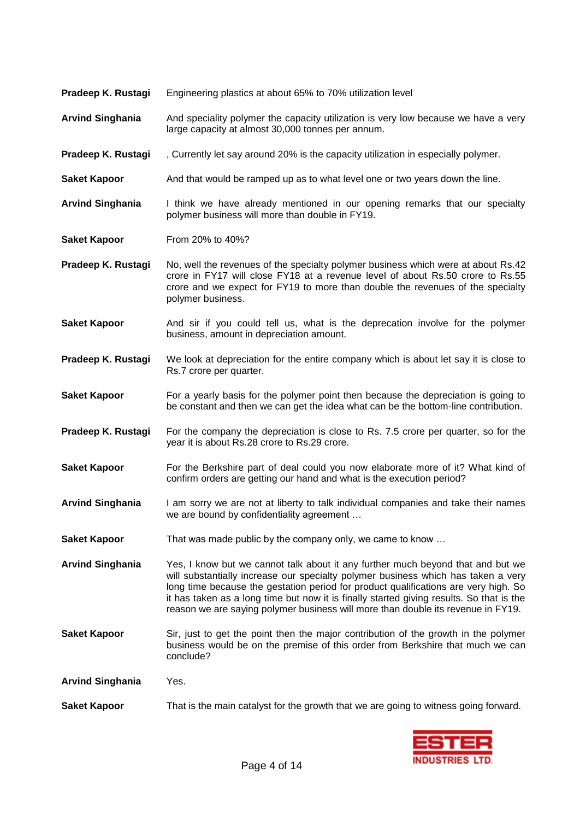| Pradeep K. Rustagi<br>Engineering plastics at about 65% to 70% utilization level |  |  |
|----------------------------------------------------------------------------------|--|--|
|----------------------------------------------------------------------------------|--|--|

- **Arvind Singhania** And speciality polymer the capacity utilization is very low because we have a very large capacity at almost 30,000 tonnes per annum.
- **Pradeep K. Rustagi** , Currently let say around 20% is the capacity utilization in especially polymer.
- **Saket Kapoor** And that would be ramped up as to what level one or two years down the line.
- **Arvind Singhania** I think we have already mentioned in our opening remarks that our specialty polymer business will more than double in FY19.
- **Saket Kapoor** From 20% to 40%?
- **Pradeep K. Rustagi** No, well the revenues of the specialty polymer business which were at about Rs.42 crore in FY17 will close FY18 at a revenue level of about Rs.50 crore to Rs.55 crore and we expect for FY19 to more than double the revenues of the specialty polymer business.
- **Saket Kapoor** And sir if you could tell us, what is the deprecation involve for the polymer business, amount in depreciation amount.
- **Pradeep K. Rustagi** We look at depreciation for the entire company which is about let say it is close to Rs.7 crore per quarter.
- **Saket Kapoor** For a yearly basis for the polymer point then because the depreciation is going to be constant and then we can get the idea what can be the bottom-line contribution.
- **Pradeep K. Rustagi** For the company the depreciation is close to Rs. 7.5 crore per quarter, so for the year it is about Rs.28 crore to Rs.29 crore.
- **Saket Kapoor** For the Berkshire part of deal could you now elaborate more of it? What kind of confirm orders are getting our hand and what is the execution period?
- **Arvind Singhania** I am sorry we are not at liberty to talk individual companies and take their names we are bound by confidentiality agreement …
- **Saket Kapoor** That was made public by the company only, we came to know ...
- **Arvind Singhania** Yes, I know but we cannot talk about it any further much beyond that and but we will substantially increase our specialty polymer business which has taken a very long time because the gestation period for product qualifications are very high. So it has taken as a long time but now it is finally started giving results. So that is the reason we are saying polymer business will more than double its revenue in FY19.
- **Saket Kapoor** Sir, just to get the point then the major contribution of the growth in the polymer business would be on the premise of this order from Berkshire that much we can conclude?
- **Arvind Singhania** Yes.
- **Saket Kapoor** That is the main catalyst for the growth that we are going to witness going forward.

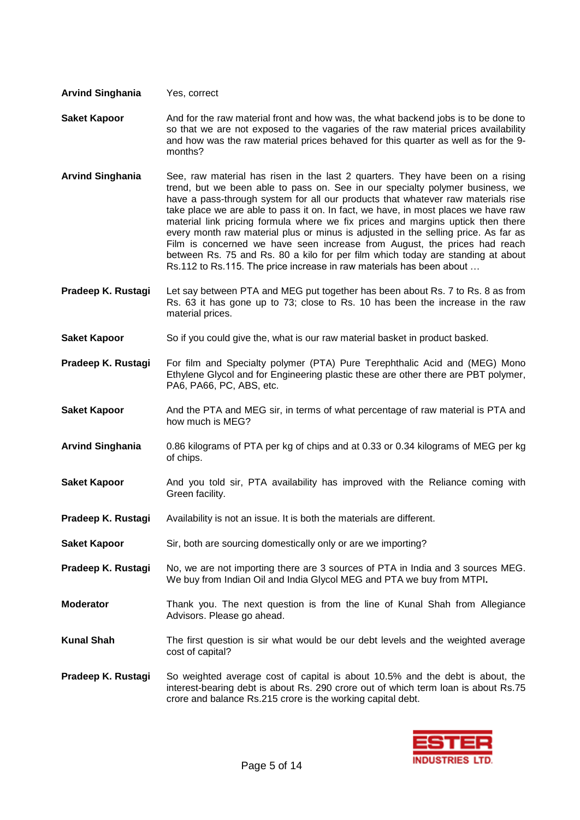## **Arvind Singhania** Yes, correct

- **Saket Kapoor** And for the raw material front and how was, the what backend jobs is to be done to so that we are not exposed to the vagaries of the raw material prices availability and how was the raw material prices behaved for this quarter as well as for the 9 months?
- **Arvind Singhania** See, raw material has risen in the last 2 quarters. They have been on a rising trend, but we been able to pass on. See in our specialty polymer business, we have a pass-through system for all our products that whatever raw materials rise take place we are able to pass it on. In fact, we have, in most places we have raw material link pricing formula where we fix prices and margins uptick then there every month raw material plus or minus is adjusted in the selling price. As far as Film is concerned we have seen increase from August, the prices had reach between Rs. 75 and Rs. 80 a kilo for per film which today are standing at about Rs.112 to Rs.115. The price increase in raw materials has been about …
- **Pradeep K. Rustagi** Let say between PTA and MEG put together has been about Rs. 7 to Rs. 8 as from Rs. 63 it has gone up to 73; close to Rs. 10 has been the increase in the raw material prices.
- **Saket Kapoor** So if you could give the, what is our raw material basket in product basked.
- **Pradeep K. Rustagi** For film and Specialty polymer (PTA) Pure Terephthalic Acid and (MEG) Mono Ethylene Glycol and for Engineering plastic these are other there are PBT polymer, PA6, PA66, PC, ABS, etc.
- **Saket Kapoor** And the PTA and MEG sir, in terms of what percentage of raw material is PTA and how much is MEG?
- **Arvind Singhania** 0.86 kilograms of PTA per kg of chips and at 0.33 or 0.34 kilograms of MEG per kg of chips.
- **Saket Kapoor** And you told sir, PTA availability has improved with the Reliance coming with Green facility.
- **Pradeep K. Rustagi** Availability is not an issue. It is both the materials are different.
- **Saket Kapoor** Sir, both are sourcing domestically only or are we importing?
- **Pradeep K. Rustagi** No, we are not importing there are 3 sources of PTA in India and 3 sources MEG. We buy from Indian Oil and India Glycol MEG and PTA we buy from MTPI**.**
- **Moderator** Thank you. The next question is from the line of Kunal Shah from Allegiance Advisors. Please go ahead.
- **Kunal Shah** The first question is sir what would be our debt levels and the weighted average cost of capital?
- **Pradeep K. Rustagi** So weighted average cost of capital is about 10.5% and the debt is about, the interest-bearing debt is about Rs. 290 crore out of which term loan is about Rs.75 crore and balance Rs.215 crore is the working capital debt.

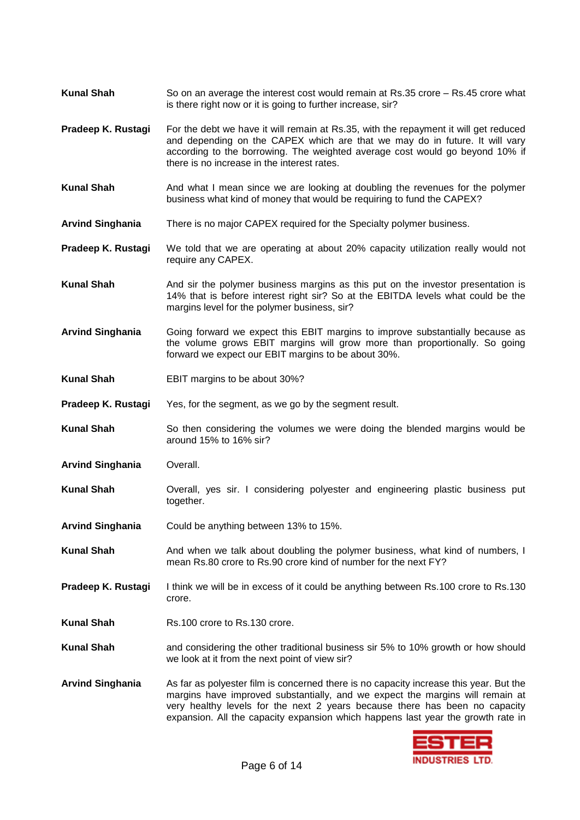- **Kunal Shah** So on an average the interest cost would remain at Rs.35 crore Rs.45 crore what is there right now or it is going to further increase, sir?
- **Pradeep K. Rustagi** For the debt we have it will remain at Rs.35, with the repayment it will get reduced and depending on the CAPEX which are that we may do in future. It will vary according to the borrowing. The weighted average cost would go beyond 10% if there is no increase in the interest rates.
- **Kunal Shah** And what I mean since we are looking at doubling the revenues for the polymer business what kind of money that would be requiring to fund the CAPEX?
- **Arvind Singhania** There is no major CAPEX required for the Specialty polymer business.
- **Pradeep K. Rustagi** We told that we are operating at about 20% capacity utilization really would not require any CAPEX.
- **Kunal Shah** And sir the polymer business margins as this put on the investor presentation is 14% that is before interest right sir? So at the EBITDA levels what could be the margins level for the polymer business, sir?
- **Arvind Singhania** Going forward we expect this EBIT margins to improve substantially because as the volume grows EBIT margins will grow more than proportionally. So going forward we expect our EBIT margins to be about 30%.
- **Kunal Shah** EBIT margins to be about 30%?
- **Pradeep K. Rustagi** Yes, for the segment, as we go by the segment result.
- **Kunal Shah** So then considering the volumes we were doing the blended margins would be around 15% to 16% sir?
- **Arvind Singhania** Overall.
- **Kunal Shah** Overall, yes sir. I considering polyester and engineering plastic business put together.
- **Arvind Singhania** Could be anything between 13% to 15%.
- **Kunal Shah** And when we talk about doubling the polymer business, what kind of numbers, I mean Rs.80 crore to Rs.90 crore kind of number for the next FY?
- **Pradeep K. Rustagi** I think we will be in excess of it could be anything between Rs.100 crore to Rs.130 crore.
- **Kunal Shah** Rs.100 crore to Rs.130 crore.
- **Kunal Shah** and considering the other traditional business sir 5% to 10% growth or how should we look at it from the next point of view sir?
- **Arvind Singhania** As far as polyester film is concerned there is no capacity increase this year. But the margins have improved substantially, and we expect the margins will remain at very healthy levels for the next 2 years because there has been no capacity expansion. All the capacity expansion which happens last year the growth rate in

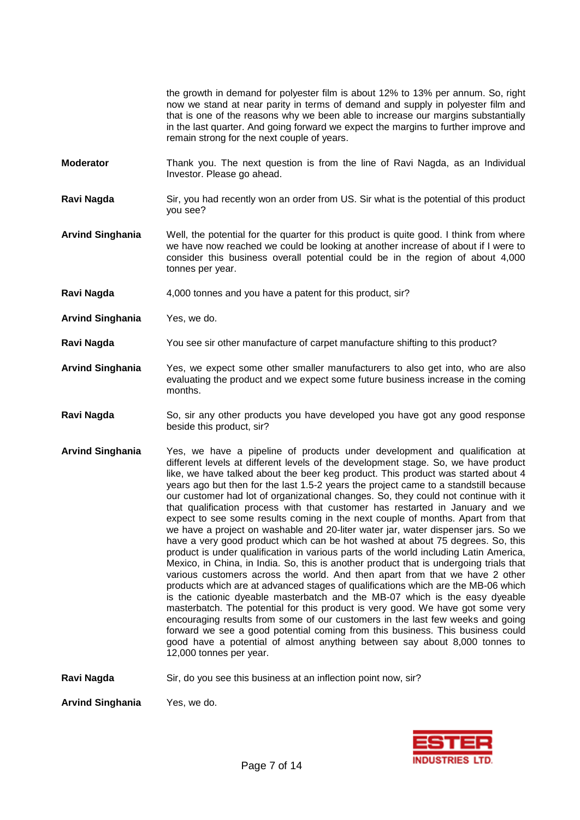the growth in demand for polyester film is about 12% to 13% per annum. So, right now we stand at near parity in terms of demand and supply in polyester film and that is one of the reasons why we been able to increase our margins substantially in the last quarter. And going forward we expect the margins to further improve and remain strong for the next couple of years.

- **Moderator** Thank you. The next question is from the line of Ravi Nagda, as an Individual Investor. Please go ahead.
- **Ravi Nagda** Sir, you had recently won an order from US. Sir what is the potential of this product you see?
- **Arvind Singhania** Well, the potential for the quarter for this product is quite good. I think from where we have now reached we could be looking at another increase of about if I were to consider this business overall potential could be in the region of about 4,000 tonnes per year.
- Ravi Nagda 4,000 tonnes and you have a patent for this product, sir?
- **Arvind Singhania** Yes, we do.
- **Ravi Nagda** You see sir other manufacture of carpet manufacture shifting to this product?
- **Arvind Singhania** Yes, we expect some other smaller manufacturers to also get into, who are also evaluating the product and we expect some future business increase in the coming months.
- **Ravi Nagda** So, sir any other products you have developed you have got any good response beside this product, sir?
- **Arvind Singhania** Yes, we have a pipeline of products under development and qualification at different levels at different levels of the development stage. So, we have product like, we have talked about the beer keg product. This product was started about 4 years ago but then for the last 1.5-2 years the project came to a standstill because our customer had lot of organizational changes. So, they could not continue with it that qualification process with that customer has restarted in January and we expect to see some results coming in the next couple of months. Apart from that we have a project on washable and 20-liter water jar, water dispenser jars. So we have a very good product which can be hot washed at about 75 degrees. So, this product is under qualification in various parts of the world including Latin America, Mexico, in China, in India. So, this is another product that is undergoing trials that various customers across the world. And then apart from that we have 2 other products which are at advanced stages of qualifications which are the MB-06 which is the cationic dyeable masterbatch and the MB-07 which is the easy dyeable masterbatch. The potential for this product is very good. We have got some very encouraging results from some of our customers in the last few weeks and going forward we see a good potential coming from this business. This business could good have a potential of almost anything between say about 8,000 tonnes to 12,000 tonnes per year.

**Ravi Nagda** Sir, do you see this business at an inflection point now, sir?

**Arvind Singhania** Yes, we do.

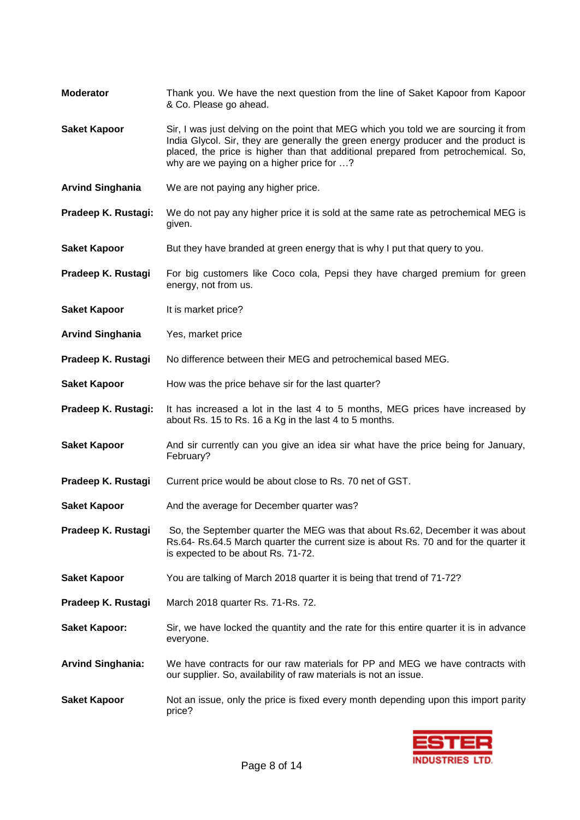| <b>Moderator</b>         | Thank you. We have the next question from the line of Saket Kapoor from Kapoor<br>& Co. Please go ahead.                                                                                                                                                                                                     |
|--------------------------|--------------------------------------------------------------------------------------------------------------------------------------------------------------------------------------------------------------------------------------------------------------------------------------------------------------|
| <b>Saket Kapoor</b>      | Sir, I was just delving on the point that MEG which you told we are sourcing it from<br>India Glycol. Sir, they are generally the green energy producer and the product is<br>placed, the price is higher than that additional prepared from petrochemical. So,<br>why are we paying on a higher price for ? |
| <b>Arvind Singhania</b>  | We are not paying any higher price.                                                                                                                                                                                                                                                                          |
| Pradeep K. Rustagi:      | We do not pay any higher price it is sold at the same rate as petrochemical MEG is<br>given.                                                                                                                                                                                                                 |
| <b>Saket Kapoor</b>      | But they have branded at green energy that is why I put that query to you.                                                                                                                                                                                                                                   |
| Pradeep K. Rustagi       | For big customers like Coco cola, Pepsi they have charged premium for green<br>energy, not from us.                                                                                                                                                                                                          |
| <b>Saket Kapoor</b>      | It is market price?                                                                                                                                                                                                                                                                                          |
| <b>Arvind Singhania</b>  | Yes, market price                                                                                                                                                                                                                                                                                            |
| Pradeep K. Rustagi       | No difference between their MEG and petrochemical based MEG.                                                                                                                                                                                                                                                 |
| <b>Saket Kapoor</b>      | How was the price behave sir for the last quarter?                                                                                                                                                                                                                                                           |
| Pradeep K. Rustagi:      | It has increased a lot in the last 4 to 5 months, MEG prices have increased by<br>about Rs. 15 to Rs. 16 a Kg in the last 4 to 5 months.                                                                                                                                                                     |
| <b>Saket Kapoor</b>      | And sir currently can you give an idea sir what have the price being for January,<br>February?                                                                                                                                                                                                               |
| Pradeep K. Rustagi       | Current price would be about close to Rs. 70 net of GST.                                                                                                                                                                                                                                                     |
| <b>Saket Kapoor</b>      | And the average for December quarter was?                                                                                                                                                                                                                                                                    |
| Pradeep K. Rustagi       | So, the September quarter the MEG was that about Rs.62, December it was about<br>Rs.64- Rs.64.5 March quarter the current size is about Rs. 70 and for the quarter it<br>is expected to be about Rs. 71-72.                                                                                                  |
| <b>Saket Kapoor</b>      | You are talking of March 2018 quarter it is being that trend of 71-72?                                                                                                                                                                                                                                       |
| Pradeep K. Rustagi       | March 2018 quarter Rs. 71-Rs. 72.                                                                                                                                                                                                                                                                            |
| <b>Saket Kapoor:</b>     | Sir, we have locked the quantity and the rate for this entire quarter it is in advance<br>everyone.                                                                                                                                                                                                          |
| <b>Arvind Singhania:</b> | We have contracts for our raw materials for PP and MEG we have contracts with<br>our supplier. So, availability of raw materials is not an issue.                                                                                                                                                            |
| <b>Saket Kapoor</b>      | Not an issue, only the price is fixed every month depending upon this import parity<br>price?                                                                                                                                                                                                                |

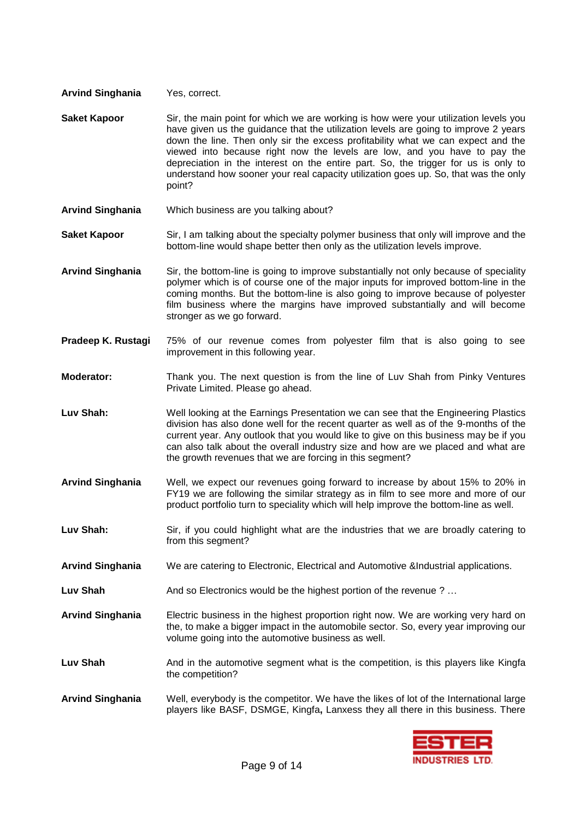- **Arvind Singhania** Yes, correct.
- **Saket Kapoor** Sir, the main point for which we are working is how were your utilization levels you have given us the guidance that the utilization levels are going to improve 2 years down the line. Then only sir the excess profitability what we can expect and the viewed into because right now the levels are low, and you have to pay the depreciation in the interest on the entire part. So, the trigger for us is only to understand how sooner your real capacity utilization goes up. So, that was the only point?
- **Arvind Singhania** Which business are you talking about?
- **Saket Kapoor** Sir, I am talking about the specialty polymer business that only will improve and the bottom-line would shape better then only as the utilization levels improve.

**Arvind Singhania** Sir, the bottom-line is going to improve substantially not only because of speciality polymer which is of course one of the major inputs for improved bottom-line in the coming months. But the bottom-line is also going to improve because of polyester film business where the margins have improved substantially and will become stronger as we go forward.

- **Pradeep K. Rustagi** 75% of our revenue comes from polyester film that is also going to see improvement in this following year.
- **Moderator:** Thank you. The next question is from the line of Luv Shah from Pinky Ventures Private Limited. Please go ahead.
- **Luv Shah:** Well looking at the Earnings Presentation we can see that the Engineering Plastics division has also done well for the recent quarter as well as of the 9-months of the current year. Any outlook that you would like to give on this business may be if you can also talk about the overall industry size and how are we placed and what are the growth revenues that we are forcing in this segment?
- **Arvind Singhania** Well, we expect our revenues going forward to increase by about 15% to 20% in FY19 we are following the similar strategy as in film to see more and more of our product portfolio turn to speciality which will help improve the bottom-line as well.
- Luv Shah: Sir, if you could highlight what are the industries that we are broadly catering to from this segment?
- **Arvind Singhania** We are catering to Electronic, Electrical and Automotive &Industrial applications.
- **Luv Shah** And so Electronics would be the highest portion of the revenue ? …
- **Arvind Singhania** Electric business in the highest proportion right now. We are working very hard on the, to make a bigger impact in the automobile sector. So, every year improving our volume going into the automotive business as well.
- Luv Shah **And in the automotive segment what is the competition, is this players like Kingfa** the competition?
- **Arvind Singhania** Well, everybody is the competitor. We have the likes of lot of the International large players like BASF, DSMGE, Kingfa**,** Lanxess they all there in this business. There

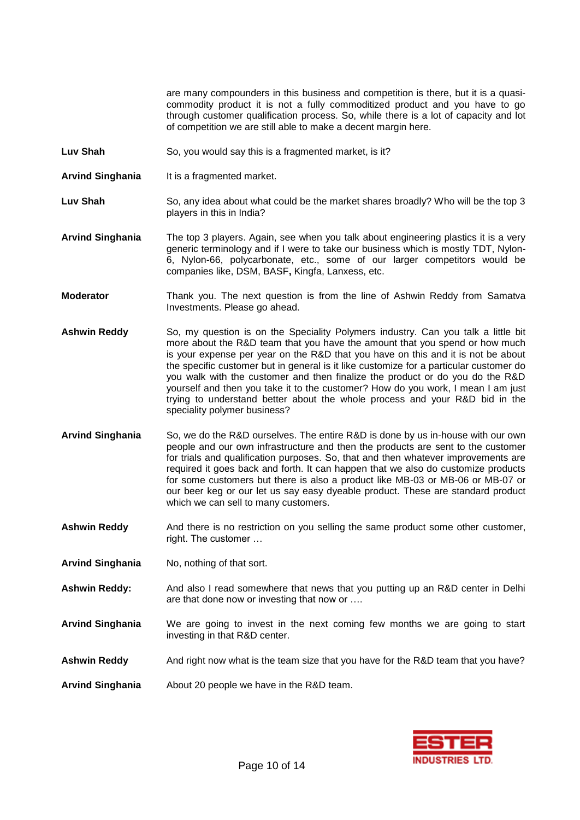are many compounders in this business and competition is there, but it is a quasicommodity product it is not a fully commoditized product and you have to go through customer qualification process. So, while there is a lot of capacity and lot of competition we are still able to make a decent margin here.

- **Luv Shah** So, you would say this is a fragmented market, is it?
- **Arvind Singhania** It is a fragmented market.
- **Luv Shah** So, any idea about what could be the market shares broadly? Who will be the top 3 players in this in India?
- **Arvind Singhania** The top 3 players. Again, see when you talk about engineering plastics it is a very generic terminology and if I were to take our business which is mostly TDT, Nylon-6, Nylon-66, polycarbonate, etc., some of our larger competitors would be companies like, DSM, BASF**,** Kingfa, Lanxess, etc.
- **Moderator** Thank you. The next question is from the line of Ashwin Reddy from Samatva Investments. Please go ahead.
- **Ashwin Reddy** So, my question is on the Speciality Polymers industry. Can you talk a little bit more about the R&D team that you have the amount that you spend or how much is your expense per year on the R&D that you have on this and it is not be about the specific customer but in general is it like customize for a particular customer do you walk with the customer and then finalize the product or do you do the R&D yourself and then you take it to the customer? How do you work, I mean I am just trying to understand better about the whole process and your R&D bid in the speciality polymer business?
- **Arvind Singhania** So, we do the R&D ourselves. The entire R&D is done by us in-house with our own people and our own infrastructure and then the products are sent to the customer for trials and qualification purposes. So, that and then whatever improvements are required it goes back and forth. It can happen that we also do customize products for some customers but there is also a product like MB-03 or MB-06 or MB-07 or our beer keg or our let us say easy dyeable product. These are standard product which we can sell to many customers.
- **Ashwin Reddy** And there is no restriction on you selling the same product some other customer, right. The customer …
- **Arvind Singhania** No, nothing of that sort.
- **Ashwin Reddy:** And also I read somewhere that news that you putting up an R&D center in Delhi are that done now or investing that now or ….
- **Arvind Singhania** We are going to invest in the next coming few months we are going to start investing in that R&D center.
- **Ashwin Reddy** And right now what is the team size that you have for the R&D team that you have?
- **Arvind Singhania** About 20 people we have in the R&D team.

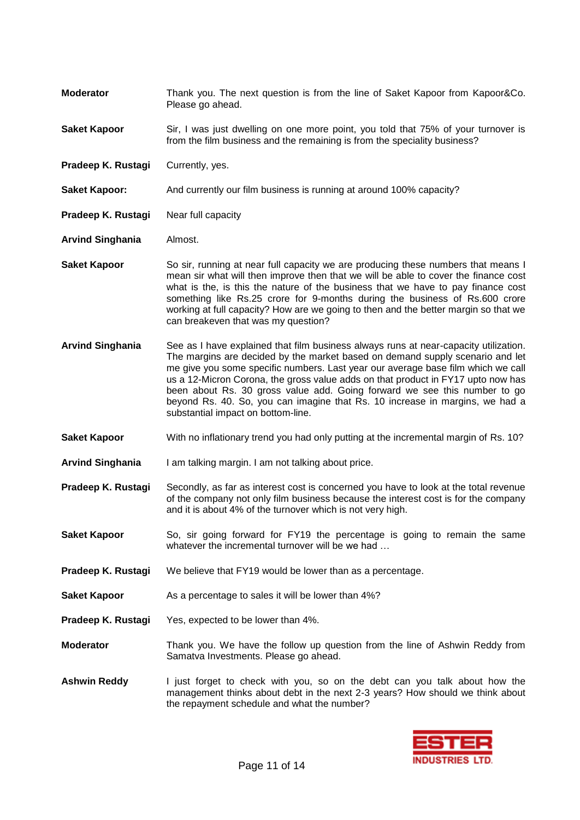**Moderator** Thank you. The next question is from the line of Saket Kapoor from Kapoor&Co. Please go ahead. **Saket Kapoor** Sir, I was just dwelling on one more point, you told that 75% of your turnover is from the film business and the remaining is from the speciality business? **Pradeep K. Rustagi** Currently, yes. **Saket Kapoor:** And currently our film business is running at around 100% capacity? **Pradeep K. Rustagi** Near full capacity **Arvind Singhania** Almost. **Saket Kapoor** So sir, running at near full capacity we are producing these numbers that means I mean sir what will then improve then that we will be able to cover the finance cost what is the, is this the nature of the business that we have to pay finance cost something like Rs.25 crore for 9-months during the business of Rs.600 crore working at full capacity? How are we going to then and the better margin so that we can breakeven that was my question? **Arvind Singhania** See as I have explained that film business always runs at near-capacity utilization. The margins are decided by the market based on demand supply scenario and let me give you some specific numbers. Last year our average base film which we call us a 12-Micron Corona, the gross value adds on that product in FY17 upto now has been about Rs. 30 gross value add. Going forward we see this number to go beyond Rs. 40. So, you can imagine that Rs. 10 increase in margins, we had a substantial impact on bottom-line. **Saket Kapoor** With no inflationary trend you had only putting at the incremental margin of Rs. 10? **Arvind Singhania** I am talking margin. I am not talking about price. **Pradeep K. Rustagi** Secondly, as far as interest cost is concerned you have to look at the total revenue of the company not only film business because the interest cost is for the company and it is about 4% of the turnover which is not very high. **Saket Kapoor** So, sir going forward for FY19 the percentage is going to remain the same whatever the incremental turnover will be we had ... **Pradeep K. Rustagi** We believe that FY19 would be lower than as a percentage. **Saket Kapoor** As a percentage to sales it will be lower than 4%? **Pradeep K. Rustagi** Yes, expected to be lower than 4%. **Moderator** Thank you. We have the follow up question from the line of Ashwin Reddy from Samatva Investments. Please go ahead. **Ashwin Reddy** I just forget to check with you, so on the debt can you talk about how the management thinks about debt in the next 2-3 years? How should we think about the repayment schedule and what the number?

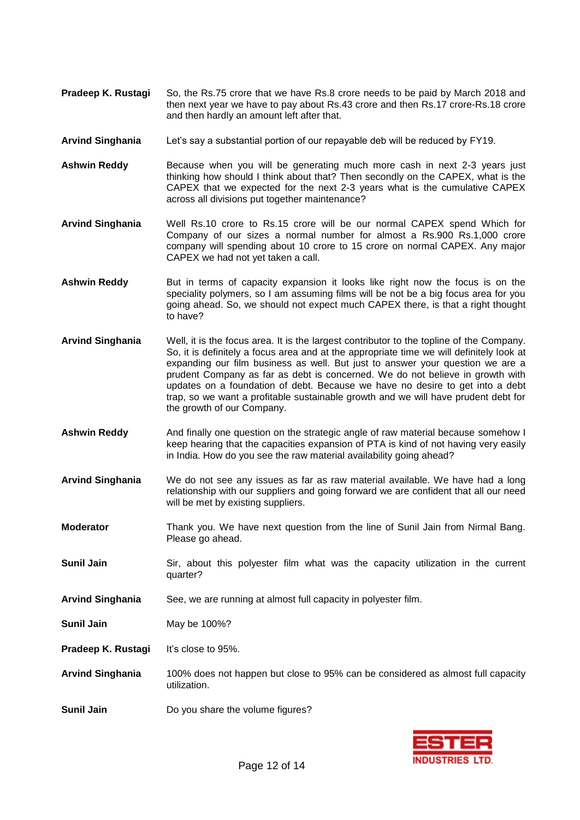- **Pradeep K. Rustagi** So, the Rs.75 crore that we have Rs.8 crore needs to be paid by March 2018 and then next year we have to pay about Rs.43 crore and then Rs.17 crore-Rs.18 crore and then hardly an amount left after that.
- **Arvind Singhania** Let's say a substantial portion of our repayable deb will be reduced by FY19.
- **Ashwin Reddy** Because when you will be generating much more cash in next 2-3 years just thinking how should I think about that? Then secondly on the CAPEX, what is the CAPEX that we expected for the next 2-3 years what is the cumulative CAPEX across all divisions put together maintenance?
- **Arvind Singhania** Well Rs.10 crore to Rs.15 crore will be our normal CAPEX spend Which for Company of our sizes a normal number for almost a Rs.900 Rs.1,000 crore company will spending about 10 crore to 15 crore on normal CAPEX. Any major CAPEX we had not yet taken a call.
- Ashwin Reddy But in terms of capacity expansion it looks like right now the focus is on the speciality polymers, so I am assuming films will be not be a big focus area for you going ahead. So, we should not expect much CAPEX there, is that a right thought to have?
- **Arvind Singhania** Well, it is the focus area. It is the largest contributor to the topline of the Company. So, it is definitely a focus area and at the appropriate time we will definitely look at expanding our film business as well. But just to answer your question we are a prudent Company as far as debt is concerned. We do not believe in growth with updates on a foundation of debt. Because we have no desire to get into a debt trap, so we want a profitable sustainable growth and we will have prudent debt for the growth of our Company.
- **Ashwin Reddy** And finally one question on the strategic angle of raw material because somehow I keep hearing that the capacities expansion of PTA is kind of not having very easily in India. How do you see the raw material availability going ahead?
- **Arvind Singhania** We do not see any issues as far as raw material available. We have had a long relationship with our suppliers and going forward we are confident that all our need will be met by existing suppliers.
- **Moderator** Thank you. We have next question from the line of Sunil Jain from Nirmal Bang. Please go ahead.
- **Sunil Jain** Sir, about this polyester film what was the capacity utilization in the current quarter?
- **Arvind Singhania** See, we are running at almost full capacity in polyester film.
- **Sunil Jain** May be 100%?
- **Pradeep K. Rustagi** It's close to 95%.
- **Arvind Singhania** 100% does not happen but close to 95% can be considered as almost full capacity utilization.
- **Sunil Jain** Do you share the volume figures?

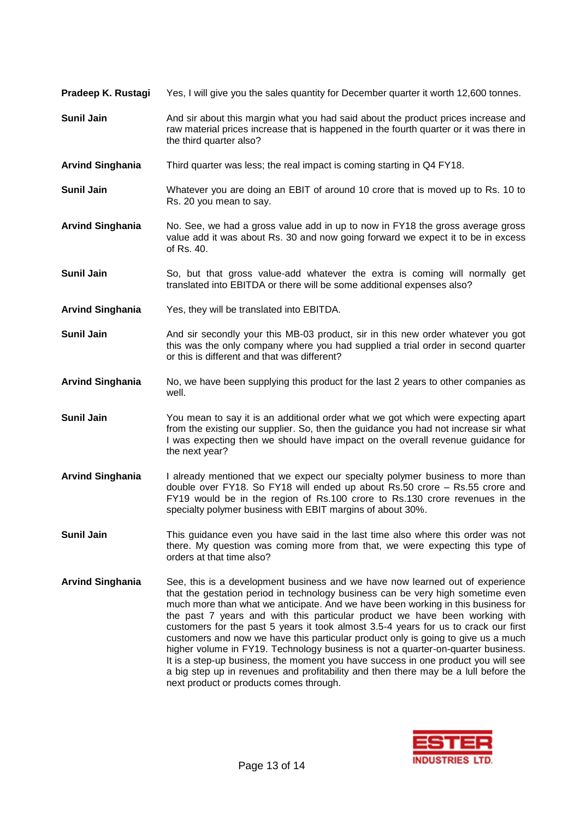| Pradeep K. Rustagi      | Yes, I will give you the sales quantity for December quarter it worth 12,600 tonnes.                                                                                                                                                                                                                                                                                                                                                                                                                                                                                                                                                                                                     |
|-------------------------|------------------------------------------------------------------------------------------------------------------------------------------------------------------------------------------------------------------------------------------------------------------------------------------------------------------------------------------------------------------------------------------------------------------------------------------------------------------------------------------------------------------------------------------------------------------------------------------------------------------------------------------------------------------------------------------|
| <b>Sunil Jain</b>       | And sir about this margin what you had said about the product prices increase and<br>raw material prices increase that is happened in the fourth quarter or it was there in<br>the third quarter also?                                                                                                                                                                                                                                                                                                                                                                                                                                                                                   |
| <b>Arvind Singhania</b> | Third quarter was less; the real impact is coming starting in Q4 FY18.                                                                                                                                                                                                                                                                                                                                                                                                                                                                                                                                                                                                                   |
| <b>Sunil Jain</b>       | Whatever you are doing an EBIT of around 10 crore that is moved up to Rs. 10 to<br>Rs. 20 you mean to say.                                                                                                                                                                                                                                                                                                                                                                                                                                                                                                                                                                               |
| <b>Arvind Singhania</b> | No. See, we had a gross value add in up to now in FY18 the gross average gross<br>value add it was about Rs. 30 and now going forward we expect it to be in excess<br>of Rs. 40.                                                                                                                                                                                                                                                                                                                                                                                                                                                                                                         |
| <b>Sunil Jain</b>       | So, but that gross value-add whatever the extra is coming will normally get<br>translated into EBITDA or there will be some additional expenses also?                                                                                                                                                                                                                                                                                                                                                                                                                                                                                                                                    |
| <b>Arvind Singhania</b> | Yes, they will be translated into EBITDA.                                                                                                                                                                                                                                                                                                                                                                                                                                                                                                                                                                                                                                                |
| <b>Sunil Jain</b>       | And sir secondly your this MB-03 product, sir in this new order whatever you got<br>this was the only company where you had supplied a trial order in second quarter<br>or this is different and that was different?                                                                                                                                                                                                                                                                                                                                                                                                                                                                     |
| <b>Arvind Singhania</b> | No, we have been supplying this product for the last 2 years to other companies as<br>well.                                                                                                                                                                                                                                                                                                                                                                                                                                                                                                                                                                                              |
| <b>Sunil Jain</b>       | You mean to say it is an additional order what we got which were expecting apart<br>from the existing our supplier. So, then the guidance you had not increase sir what<br>I was expecting then we should have impact on the overall revenue guidance for<br>the next year?                                                                                                                                                                                                                                                                                                                                                                                                              |
| <b>Arvind Singhania</b> | I already mentioned that we expect our specialty polymer business to more than<br>double over FY18. So FY18 will ended up about Rs.50 crore - Rs.55 crore and<br>FY19 would be in the region of Rs.100 crore to Rs.130 crore revenues in the<br>specialty polymer business with EBIT margins of about 30%.                                                                                                                                                                                                                                                                                                                                                                               |
| <b>Sunil Jain</b>       | This guidance even you have said in the last time also where this order was not<br>there. My question was coming more from that, we were expecting this type of<br>orders at that time also?                                                                                                                                                                                                                                                                                                                                                                                                                                                                                             |
| <b>Arvind Singhania</b> | See, this is a development business and we have now learned out of experience<br>that the gestation period in technology business can be very high sometime even<br>much more than what we anticipate. And we have been working in this business for<br>the past 7 years and with this particular product we have been working with<br>customers for the past 5 years it took almost 3.5-4 years for us to crack our first<br>customers and now we have this particular product only is going to give us a much<br>higher volume in FY19. Technology business is not a quarter-on-quarter business.<br>It is a step-up business, the moment you have success in one product you will see |



next product or products comes through.

a big step up in revenues and profitability and then there may be a lull before the